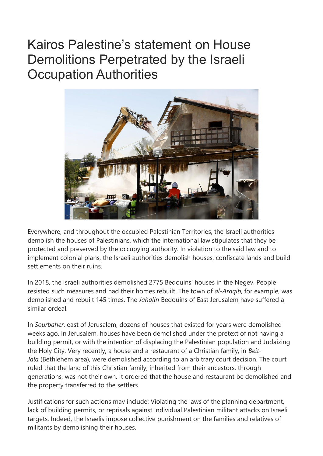## Kairos Palestine's statement on House Demolitions Perpetrated by the Israeli Occupation Authorities



Everywhere, and throughout the occupied Palestinian Territories, the Israeli authorities demolish the houses of Palestinians, which the international law stipulates that they be protected and preserved by the occupying authority. In violation to the said law and to implement colonial plans, the Israeli authorities demolish houses, confiscate lands and build settlements on their ruins.

In 2018, the Israeli authorities demolished 2775 Bedouins' houses in the Negev. People resisted such measures and had their homes rebuilt. The town of *al-Araqib*, for example, was demolished and rebuilt 145 times. The *Jahalin* Bedouins of East Jerusalem have suffered a similar ordeal.

In *Sourbaher*, east of Jerusalem, dozens of houses that existed for years were demolished weeks ago. In Jerusalem, houses have been demolished under the pretext of not having a building permit, or with the intention of displacing the Palestinian population and Judaizing the Holy City. Very recently, a house and a restaurant of a Christian family, in *Beit-Jala* (Bethlehem area), were demolished according to an arbitrary court decision. The court ruled that the land of this Christian family, inherited from their ancestors, through generations, was not their own. It ordered that the house and restaurant be demolished and the property transferred to the settlers.

Justifications for such actions may include: Violating the laws of the planning department, lack of building permits, or reprisals against individual Palestinian militant attacks on Israeli targets. Indeed, the Israelis impose collective punishment on the families and relatives of militants by demolishing their houses.